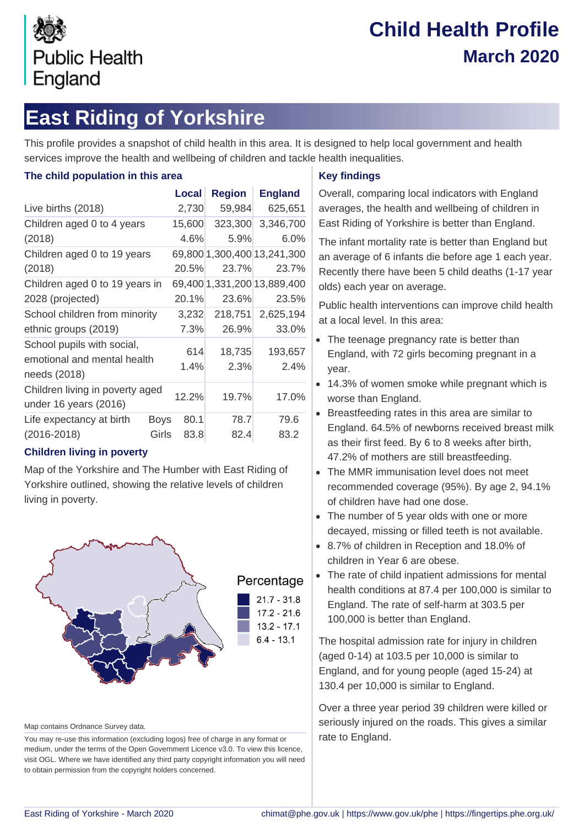

# **Child Health Profile March 2020**

# **East Riding of Yorkshire**

This profile provides a snapshot of child health in this area. It is designed to help local government and health services improve the health and wellbeing of children and tackle health inequalities.

#### **The child population in this area**

|                                                                           |             | <b>Local</b> | <b>Region</b> | <b>England</b>              |
|---------------------------------------------------------------------------|-------------|--------------|---------------|-----------------------------|
| Live births (2018)                                                        |             | 2,730        | 59,984        | 625,651                     |
| Children aged 0 to 4 years<br>(2018)                                      |             | 15,600       | 323,300       | 3,346,700                   |
|                                                                           |             | 4.6%         | 5.9%          | $6.0\%$                     |
| Children aged 0 to 19 years                                               |             |              |               | 69,800 1,300,400 13,241,300 |
| (2018)                                                                    |             | 20.5%        | 23.7%         | 23.7%                       |
| Children aged 0 to 19 years in                                            |             |              |               | 69,400 1,331,200 13,889,400 |
| 2028 (projected)                                                          |             | 20.1%        | 23.6%         | 23.5%                       |
| School children from minority                                             |             | 3,232        | 218,751       | 2,625,194                   |
| ethnic groups (2019)                                                      |             | 7.3%         | 26.9%         | 33.0%                       |
| School pupils with social,<br>emotional and mental health<br>needs (2018) |             | 614          | 18,735        | 193,657                     |
|                                                                           |             | 1.4%         | 2.3%          | 2.4%                        |
| Children living in poverty aged<br>under 16 years (2016)                  |             | 12.2%        | 19.7%         | 17.0%                       |
| Life expectancy at birth                                                  | <b>Boys</b> | 80.1         | 78.7          | 79.6                        |
| $(2016 - 2018)$                                                           | Girls       | 83.8         | 82.4          | 83.2                        |

#### **Children living in poverty**

Map of the Yorkshire and The Humber with East Riding of Yorkshire outlined, showing the relative levels of children living in poverty.



Map contains Ordnance Survey data.

You may re-use this information (excluding logos) free of charge in any format or medium, under the terms of the Open Government Licence v3.0. To view this licence, visit OGL. Where we have identified any third party copyright information you will need to obtain permission from the copyright holders concerned.

#### **Key findings**

Overall, comparing local indicators with England averages, the health and wellbeing of children in East Riding of Yorkshire is better than England.

The infant mortality rate is better than England but an average of 6 infants die before age 1 each year. Recently there have been 5 child deaths (1-17 year olds) each year on average.

Public health interventions can improve child health at a local level. In this area:

- The teenage pregnancy rate is better than England, with 72 girls becoming pregnant in a year.
- 14.3% of women smoke while pregnant which is worse than England.
- Breastfeeding rates in this area are similar to England. 64.5% of newborns received breast milk as their first feed. By 6 to 8 weeks after birth, 47.2% of mothers are still breastfeeding.
- The MMR immunisation level does not meet recommended coverage (95%). By age 2, 94.1% of children have had one dose.
- The number of 5 year olds with one or more decayed, missing or filled teeth is not available.
- 8.7% of children in Reception and 18.0% of children in Year 6 are obese.
- The rate of child inpatient admissions for mental health conditions at 87.4 per 100,000 is similar to England. The rate of self-harm at 303.5 per 100,000 is better than England.

The hospital admission rate for injury in children (aged 0-14) at 103.5 per 10,000 is similar to England, and for young people (aged 15-24) at 130.4 per 10,000 is similar to England.

Over a three year period 39 children were killed or seriously injured on the roads. This gives a similar rate to England.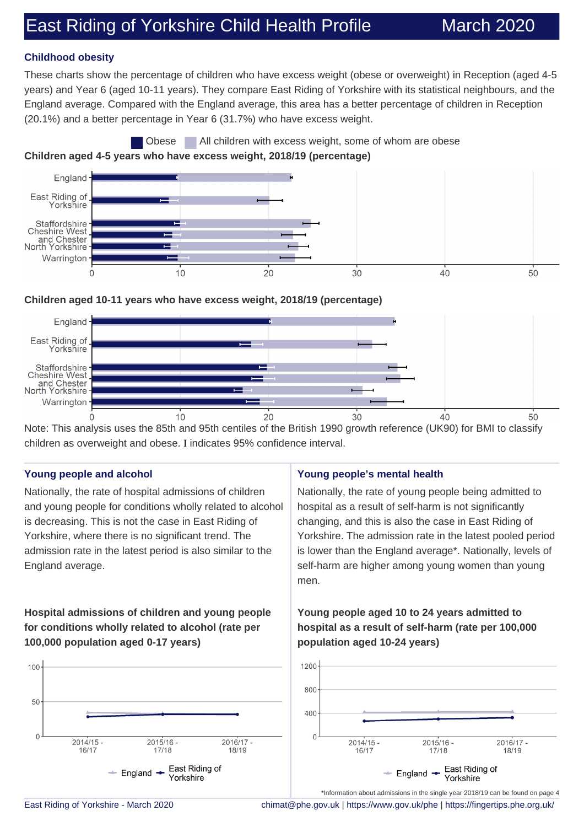## East Riding of Yorkshire Child Health Profile March 2020

#### **Childhood obesity**

These charts show the percentage of children who have excess weight (obese or overweight) in Reception (aged 4-5 years) and Year 6 (aged 10-11 years). They compare East Riding of Yorkshire with its statistical neighbours, and the England average. Compared with the England average, this area has a better percentage of children in Reception (20.1%) and a better percentage in Year 6 (31.7%) who have excess weight.





#### **Children aged 10-11 years who have excess weight, 2018/19 (percentage)**



Note: This analysis uses the 85th and 95th centiles of the British 1990 growth reference (UK90) for BMI to classify children as overweight and obese. I indicates 95% confidence interval.

#### **Young people and alcohol**

Nationally, the rate of hospital admissions of children and young people for conditions wholly related to alcohol is decreasing. This is not the case in East Riding of Yorkshire, where there is no significant trend. The admission rate in the latest period is also similar to the England average.

#### **Hospital admissions of children and young people for conditions wholly related to alcohol (rate per 100,000 population aged 0-17 years)**



#### **Young people's mental health**

Nationally, the rate of young people being admitted to hospital as a result of self-harm is not significantly changing, and this is also the case in East Riding of Yorkshire. The admission rate in the latest pooled period is lower than the England average\*. Nationally, levels of self-harm are higher among young women than young men.

#### **Young people aged 10 to 24 years admitted to hospital as a result of self-harm (rate per 100,000 population aged 10-24 years)**



East Riding of Yorkshire - March 2020 [chimat@phe.gov.uk](mailto:chimat@phe.gov.uk) |<https://www.gov.uk/phe>|<https://fingertips.phe.org.uk/>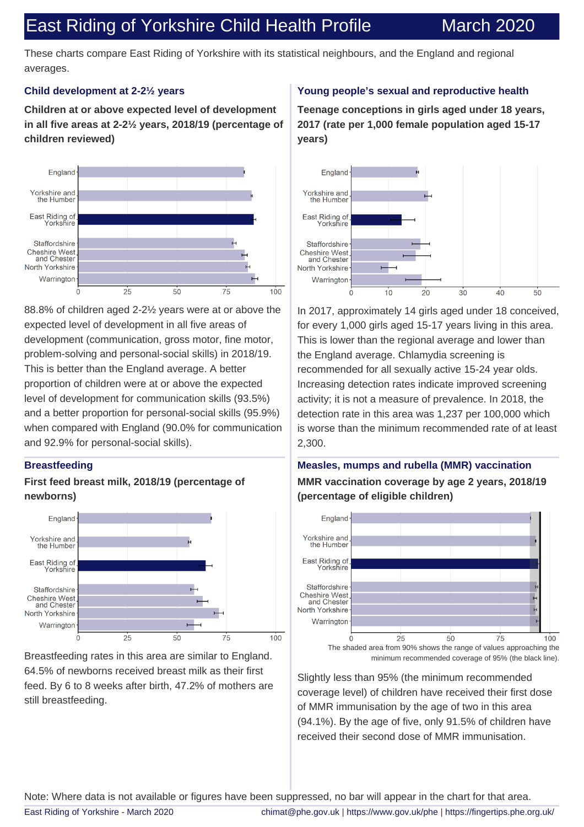### East Riding of Yorkshire Child Health Profile March 2020

These charts compare East Riding of Yorkshire with its statistical neighbours, and the England and regional averages.

#### **Child development at 2-2½ years**

**Children at or above expected level of development in all five areas at 2-2½ years, 2018/19 (percentage of children reviewed)**



88.8% of children aged 2-2½ years were at or above the expected level of development in all five areas of development (communication, gross motor, fine motor, problem-solving and personal-social skills) in 2018/19. This is better than the England average. A better proportion of children were at or above the expected level of development for communication skills (93.5%) and a better proportion for personal-social skills (95.9%) when compared with England (90.0% for communication and 92.9% for personal-social skills).

#### **Breastfeeding**

#### **First feed breast milk, 2018/19 (percentage of newborns)**



Breastfeeding rates in this area are similar to England. 64.5% of newborns received breast milk as their first feed. By 6 to 8 weeks after birth, 47.2% of mothers are still breastfeeding.

#### **Young people's sexual and reproductive health**

**Teenage conceptions in girls aged under 18 years, 2017 (rate per 1,000 female population aged 15-17 years)**



In 2017, approximately 14 girls aged under 18 conceived, for every 1,000 girls aged 15-17 years living in this area. This is lower than the regional average and lower than the England average. Chlamydia screening is recommended for all sexually active 15-24 year olds. Increasing detection rates indicate improved screening activity; it is not a measure of prevalence. In 2018, the detection rate in this area was 1,237 per 100,000 which is worse than the minimum recommended rate of at least 2,300.

### **Measles, mumps and rubella (MMR) vaccination MMR vaccination coverage by age 2 years, 2018/19 (percentage of eligible children)**



minimum recommended coverage of 95% (the black line).

Slightly less than 95% (the minimum recommended coverage level) of children have received their first dose of MMR immunisation by the age of two in this area (94.1%). By the age of five, only 91.5% of children have received their second dose of MMR immunisation.

Note: Where data is not available or figures have been suppressed, no bar will appear in the chart for that area.